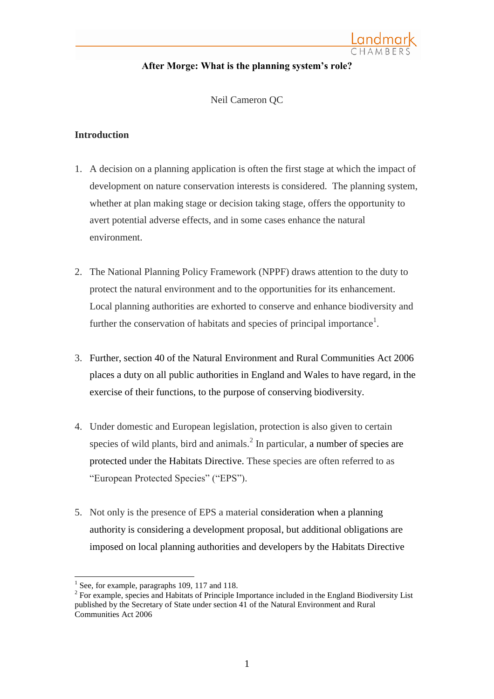# **After Morge: What is the planning system's role?**

Neil Cameron QC

## **Introduction**

- 1. A decision on a planning application is often the first stage at which the impact of development on nature conservation interests is considered. The planning system, whether at plan making stage or decision taking stage, offers the opportunity to avert potential adverse effects, and in some cases enhance the natural environment.
- 2. The National Planning Policy Framework (NPPF) draws attention to the duty to protect the natural environment and to the opportunities for its enhancement. Local planning authorities are exhorted to conserve and enhance biodiversity and further the conservation of habitats and species of principal importance<sup>1</sup>.
- 3. Further, section 40 of the Natural Environment and Rural Communities Act 2006 places a duty on all public authorities in England and Wales to have regard, in the exercise of their functions, to the purpose of conserving biodiversity.
- 4. Under domestic and European legislation, protection is also given to certain species of wild plants, bird and animals. $<sup>2</sup>$  In particular, a number of species are</sup> protected under the Habitats Directive. These species are often referred to as "European Protected Species" ("EPS").
- 5. Not only is the presence of EPS a material consideration when a planning authority is considering a development proposal, but additional obligations are imposed on local planning authorities and developers by the Habitats Directive

 $\overline{a}$ 

<sup>1</sup> See, for example, paragraphs 109, 117 and 118.

 $2^2$  For example, species and Habitats of Principle Importance included in the England Biodiversity List published by the Secretary of State under section 41 of the Natural Environment and Rural Communities Act 2006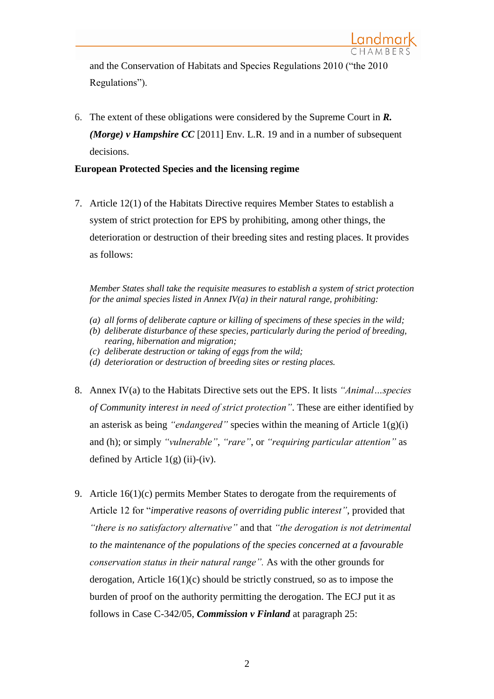and the Conservation of Habitats and Species Regulations 2010 ("the 2010 Regulations").

6. The extent of these obligations were considered by the Supreme Court in *R. (Morge) v Hampshire CC* [2011] Env. L.R. 19 and in a number of subsequent decisions.

# **European Protected Species and the licensing regime**

7. Article 12(1) of the Habitats Directive requires Member States to establish a system of strict protection for EPS by prohibiting, among other things, the deterioration or destruction of their breeding sites and resting places. It provides as follows:

*Member States shall take the requisite measures to establish a system of strict protection for the animal species listed in Annex IV(a) in their natural range, prohibiting:* 

- *(a) all forms of deliberate capture or killing of specimens of these species in the wild;*
- *(b) deliberate disturbance of these species, particularly during the period of breeding, rearing, hibernation and migration;*
- *(c) deliberate destruction or taking of eggs from the wild;*
- *(d) deterioration or destruction of breeding sites or resting places.*
- 8. Annex IV(a) to the Habitats Directive sets out the EPS. It lists *"Animal…species of Community interest in need of strict protection"*. These are either identified by an asterisk as being *"endangered"* species within the meaning of Article 1(g)(i) and (h); or simply *"vulnerable"*, *"rare"*, or *"requiring particular attention"* as defined by Article  $1(g)$  (ii)-(iv).
- 9. Article  $16(1)(c)$  permits Member States to derogate from the requirements of Article 12 for "*imperative reasons of overriding public interest"*, provided that *"there is no satisfactory alternative"* and that *"the derogation is not detrimental to the maintenance of the populations of the species concerned at a favourable conservation status in their natural range".* As with the other grounds for derogation, Article 16(1)(c) should be strictly construed, so as to impose the burden of proof on the authority permitting the derogation. The ECJ put it as follows in Case C-342/05, *Commission v Finland* at paragraph 25: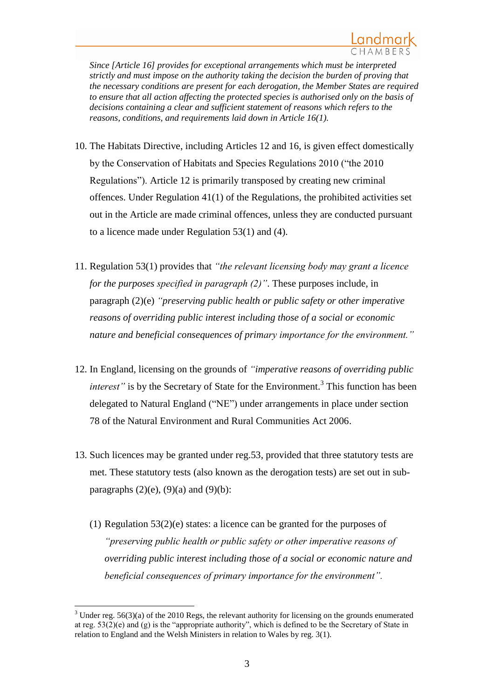*Since [Article 16] provides for exceptional arrangements which must be interpreted strictly and must impose on the authority taking the decision the burden of proving that the necessary conditions are present for each derogation, the Member States are required to ensure that all action affecting the protected species is authorised only on the basis of decisions containing a clear and sufficient statement of reasons which refers to the reasons, conditions, and requirements laid down in Article 16(1).*

- 10. The Habitats Directive, including Articles 12 and 16, is given effect domestically by the Conservation of Habitats and Species Regulations 2010 ("the 2010 Regulations"). Article 12 is primarily transposed by creating new criminal offences. Under Regulation 41(1) of the Regulations, the prohibited activities set out in the Article are made criminal offences, unless they are conducted pursuant to a licence made under Regulation 53(1) and (4).
- 11. Regulation 53(1) provides that *"the relevant licensing body may grant a licence for the purposes specified in paragraph (2)"*. These purposes include, in paragraph (2)(e) *"preserving public health or public safety or other imperative reasons of overriding public interest including those of a social or economic nature and beneficial consequences of primary importance for the environment."*
- 12. In England, licensing on the grounds of *"imperative reasons of overriding public interest*" is by the Secretary of State for the Environment.<sup>3</sup> This function has been delegated to Natural England ("NE") under arrangements in place under section 78 of the Natural Environment and Rural Communities Act 2006.
- 13. Such licences may be granted under [reg.53,](http://login.westlaw.co.uk/maf/wluk/app/document?src=doc&linktype=ref&context=12&crumb-action=replace&docguid=IAAA5B2412D9F11DFA748AC566F7AB34B) provided that three statutory tests are met. These statutory tests (also known as the derogation tests) are set out in subparagraphs  $(2)(e)$ ,  $(9)(a)$  and  $(9)(b)$ :
	- (1) Regulation 53(2)(e) states: a licence can be granted for the purposes of *"preserving public health or public safety or other imperative reasons of overriding public interest including those of a social or economic nature and beneficial consequences of primary importance for the environment".*

 $\overline{\phantom{a}}$ 

 $3$  Under reg. 56(3)(a) of the 2010 Regs, the relevant authority for licensing on the grounds enumerated at reg. 53(2)(e) and (g) is the "appropriate authority", which is defined to be the Secretary of State in relation to England and the Welsh Ministers in relation to Wales by reg. 3(1).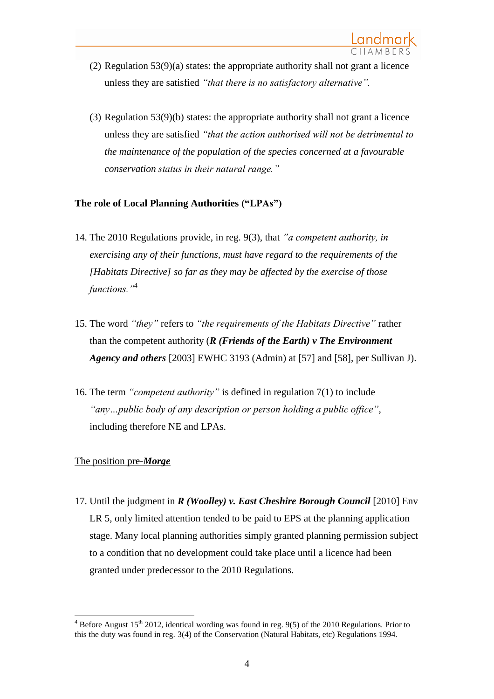- (2) Regulation 53(9)(a) states: the appropriate authority shall not grant a licence unless they are satisfied *"that there is no satisfactory alternative".*
- (3) Regulation 53(9)(b) states: the appropriate authority shall not grant a licence unless they are satisfied *"that the action authorised will not be detrimental to the maintenance of the population of the species concerned at a favourable conservation status in their natural range."*

# **The role of Local Planning Authorities ("LPAs")**

- 14. The 2010 Regulations provide, in reg. 9(3), that *"a competent authority, in exercising any of their functions, must have regard to the requirements of the [Habitats Directive] so far as they may be affected by the exercise of those functions."*<sup>4</sup>
- 15. The word *"they"* refers to *"the requirements of the Habitats Directive"* rather than the competent authority (*R (Friends of the Earth) v The Environment Agency and others* [2003] EWHC 3193 (Admin) at [57] and [58], per Sullivan J).
- 16. The term *"competent authority"* is defined in regulation 7(1) to include *"any…public body of any description or person holding a public office"*, including therefore NE and LPAs.

## The position pre-*Morge*

17. Until the judgment in *R (Woolley) v. East Cheshire Borough Council* [2010] Env LR 5, only limited attention tended to be paid to EPS at the planning application stage. Many local planning authorities simply granted planning permission subject to a condition that no development could take place until a licence had been granted under predecessor to the 2010 Regulations.

 $\overline{\phantom{a}}$  $4$  Before August 15<sup>th</sup> 2012, identical wording was found in reg. 9(5) of the 2010 Regulations. Prior to this the duty was found in reg. 3(4) of the Conservation (Natural Habitats, etc) Regulations 1994.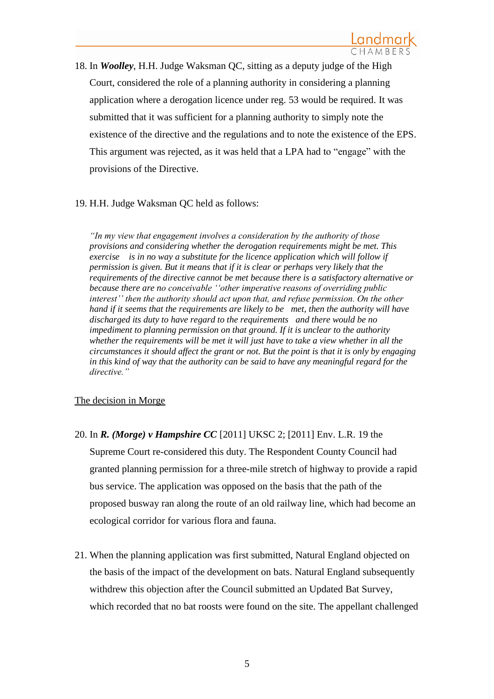18. In *Woolley*, H.H. Judge Waksman QC, sitting as a deputy judge of the High Court, considered the role of a planning authority in considering a planning application where a derogation licence under reg. 53 would be required. It was submitted that it was sufficient for a planning authority to simply note the existence of the directive and the regulations and to note the existence of the EPS. This argument was rejected, as it was held that a LPA had to "engage" with the provisions of the Directive.

## 19. H.H. Judge Waksman QC held as follows:

*"In my view that engagement involves a consideration by the authority of those provisions and considering whether the derogation requirements might be met. This exercise is in no way a substitute for the licence application which will follow if permission is given. But it means that if it is clear or perhaps very likely that the requirements of the directive cannot be met because there is a satisfactory alternative or because there are no conceivable ''other imperative reasons of overriding public interest'' then the authority should act upon that, and refuse permission. On the other hand if it seems that the requirements are likely to be met, then the authority will have discharged its duty to have regard to the requirements and there would be no impediment to planning permission on that ground. If it is unclear to the authority whether the requirements will be met it will just have to take a view whether in all the circumstances it should affect the grant or not. But the point is that it is only by engaging in this kind of way that the authority can be said to have any meaningful regard for the directive."*

## The decision in Morge

- 20. In *R. (Morge) v Hampshire CC* [2011] UKSC 2; [2011] Env. L.R. 19 the Supreme Court re-considered this duty. The Respondent County Council had granted planning permission for a three-mile stretch of highway to provide a rapid bus service. The application was opposed on the basis that the path of the proposed busway ran along the route of an old railway line, which had become an ecological corridor for various flora and fauna.
- 21. When the planning application was first submitted, Natural England objected on the basis of the impact of the development on bats. Natural England subsequently withdrew this objection after the Council submitted an Updated Bat Survey, which recorded that no bat roosts were found on the site. The appellant challenged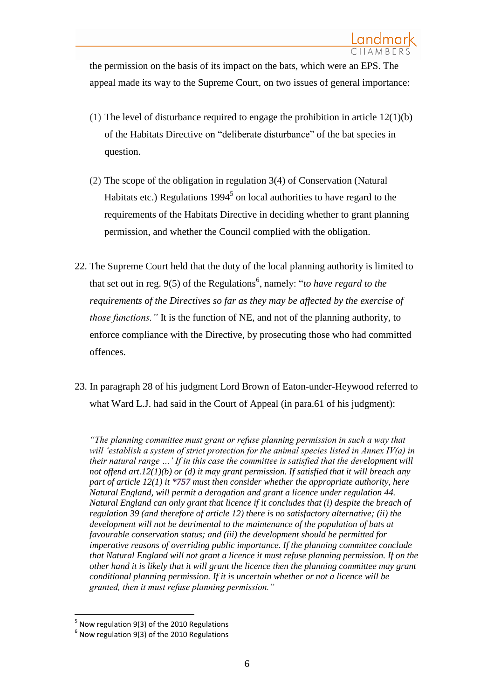the permission on the basis of its impact on the bats, which were an EPS. The appeal made its way to the Supreme Court, on two issues of general importance:

- (1) The level of disturbance required to engage the prohibition in article 12(1)(b) of the [Habitats Directive](http://ukhumanrightsblog.com/2011/01/21/batty-behaviour-in-hampshire-habitat/ec.europa.eu/environment/nature/legislation/habitatsdirective/index_en.htm) on "deliberate disturbance" of the bat species in question.
- (2) The scope of the obligation in regulation 3(4) of [Conservation \(Natural](http://www.legislation.gov.uk/uksi/1994/2716/contents/made)  Habitats etc.) Regulations  $1994<sup>5</sup>$  on local authorities to have regard to the requirements of the Habitats Directive in deciding whether to grant planning permission, and whether the Council complied with the obligation.
- 22. The Supreme Court held that the duty of the local planning authority is limited to that set out in reg. 9(5) of the Regulations<sup>6</sup>, namely: "*to have regard to the requirements of the Directives so far as they may be affected by the exercise of those functions."* It is the function of NE, and not of the planning authority, to enforce compliance with the Directive, by prosecuting those who had committed offences.
- 23. In paragraph 28 of his judgment Lord Brown of Eaton-under-Heywood referred to what Ward L.J. had said in the Court of Appeal (in para.61 of his judgment):

*"The planning committee must grant or refuse planning permission in such a way that will 'establish a system of strict protection for the animal species listed in Annex IV(a) in their natural range …' If in this case the committee is satisfied that the development will not offend art.12(1)(b) or (d) it may grant permission. If satisfied that it will breach any part of article 12(1) it \*757 must then consider whether the appropriate authority, here Natural England, will permit a derogation and grant a licence under regulation 44. Natural England can only grant that licence if it concludes that (i) despite the breach of regulation 39 (and therefore of article 12) there is no satisfactory alternative; (ii) the development will not be detrimental to the maintenance of the population of bats at favourable conservation status; and (iii) the development should be permitted for imperative reasons of overriding public importance. If the planning committee conclude that Natural England will not grant a licence it must refuse planning permission. If on the other hand it is likely that it will grant the licence then the planning committee may grant conditional planning permission. If it is uncertain whether or not a licence will be granted, then it must refuse planning permission."*

 $\overline{\phantom{a}}$ 

<sup>&</sup>lt;sup>5</sup> Now regulation 9(3) of the 2010 Regulations

 $^6$  Now regulation 9(3) of the 2010 Regulations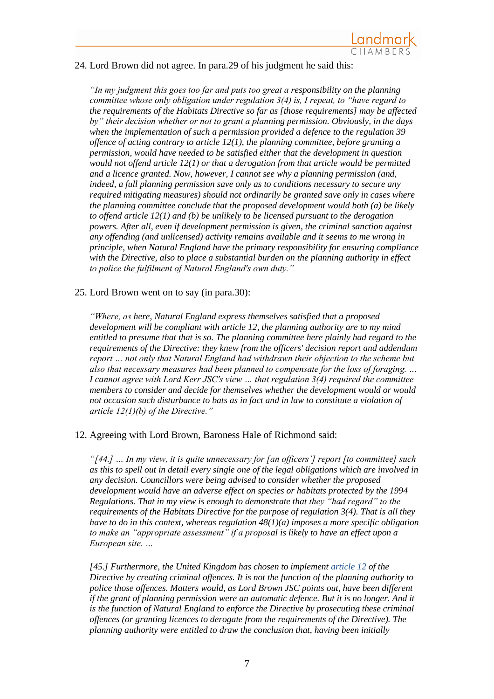

## 24. Lord Brown did not agree. In para.29 of his judgment he said this:

*"In my judgment this goes too far and puts too great a responsibility on the planning committee whose only obligation under regulation 3(4) is, I repeat, to "have regard to the requirements of the Habitats Directive so far as [those requirements] may be affected by" their decision whether or not to grant a planning permission. Obviously, in the days when the implementation of such a permission provided a defence to the regulation 39 offence of acting contrary to article 12(1), the planning committee, before granting a permission, would have needed to be satisfied either that the development in question would not offend article 12(1) or that a derogation from that article would be permitted and a licence granted. Now, however, I cannot see why a planning permission (and, indeed, a full planning permission save only as to conditions necessary to secure any required mitigating measures) should not ordinarily be granted save only in cases where the planning committee conclude that the proposed development would both (a) be likely to offend article 12(1) and (b) be unlikely to be licensed pursuant to the derogation powers. After all, even if development permission is given, the criminal sanction against any offending (and unlicensed) activity remains available and it seems to me wrong in principle, when Natural England have the primary responsibility for ensuring compliance with the Directive, also to place a substantial burden on the planning authority in effect to police the fulfilment of Natural England's own duty."*

#### 25. Lord Brown went on to say (in para.30):

*"Where, as here, Natural England express themselves satisfied that a proposed development will be compliant with article 12, the planning authority are to my mind entitled to presume that that is so. The planning committee here plainly had regard to the requirements of the Directive: they knew from the officers' decision report and addendum report … not only that Natural England had withdrawn their objection to the scheme but also that necessary measures had been planned to compensate for the loss of foraging. … I cannot agree with Lord Kerr JSC's view … that regulation 3(4) required the committee members to consider and decide for themselves whether the development would or would not occasion such disturbance to bats as in fact and in law to constitute a violation of article 12(1)(b) of the Directive."*

#### 12. Agreeing with Lord Brown, Baroness Hale of Richmond said:

*"[44.] … In my view, it is quite unnecessary for [an officers'] report [to committee] such as this to spell out in detail every single one of the legal obligations which are involved in any decision. Councillors were being advised to consider whether the proposed development would have an adverse effect on species or habitats protected by the 1994 Regulations. That in my view is enough to demonstrate that they "had regard" to the requirements of the Habitats Directive for the purpose of regulation 3(4). That is all they have to do in this context, whereas regulation 48(1)(a) imposes a more specific obligation to make an "appropriate assessment" if a proposal is likely to have an effect upon a European site. …*

*[45.] Furthermore, the United Kingdom has chosen to implement [article 12](http://login.westlaw.co.uk/maf/wluk/app/document?src=doc&linktype=ref&context=12&crumb-action=replace&docguid=I2E7B1B84B63844289D4DF2BB1F56AEE0) of the Directive by creating criminal offences. It is not the function of the planning authority to police those offences. Matters would, as Lord Brown JSC points out, have been different if the grant of planning permission were an automatic defence. But it is no longer. And it is the function of Natural England to enforce the Directive by prosecuting these criminal offences (or granting licences to derogate from the requirements of the Directive). The planning authority were entitled to draw the conclusion that, having been initially*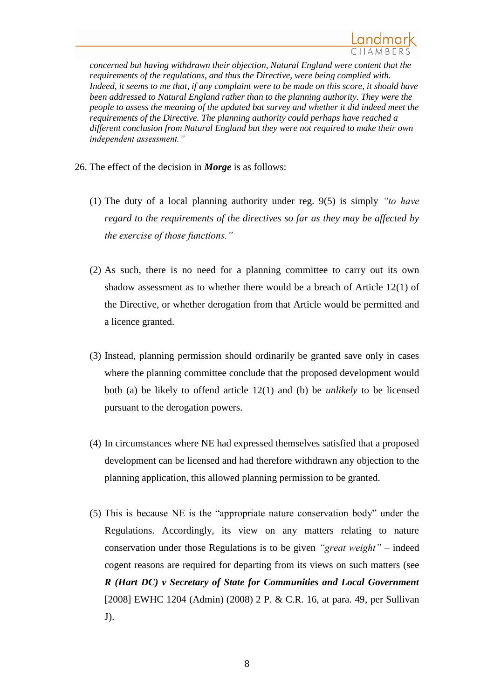*concerned but having withdrawn their objection, Natural England were content that the requirements of the regulations, and thus the Directive, were being complied with. Indeed, it seems to me that, if any complaint were to be made on this score, it should have been addressed to Natural England rather than to the planning authority. They were the people to assess the meaning of the updated bat survey and whether it did indeed meet the requirements of the Directive. The planning authority could perhaps have reached a different conclusion from Natural England but they were not required to make their own independent assessment."*

26. The effect of the decision in *Morge* is as follows:

- (1) The duty of a local planning authority under reg. 9(5) is simply *"to have regard to the requirements of the directives so far as they may be affected by the exercise of those functions."*
- (2) As such, there is no need for a planning committee to carry out its own shadow assessment as to whether there would be a breach of Article 12(1) of the Directive, or whether derogation from that Article would be permitted and a licence granted.
- (3) Instead, planning permission should ordinarily be granted save only in cases where the planning committee conclude that the proposed development would both (a) be likely to offend article 12(1) and (b) be *unlikely* to be licensed pursuant to the derogation powers.
- (4) In circumstances where NE had expressed themselves satisfied that a proposed development can be licensed and had therefore withdrawn any objection to the planning application, this allowed planning permission to be granted.
- (5) This is because NE is the "appropriate nature conservation body" under the Regulations. Accordingly, its view on any matters relating to nature conservation under those Regulations is to be given *"great weight"* – indeed cogent reasons are required for departing from its views on such matters (see *R (Hart DC) v Secretary of State for Communities and Local Government* [2008] EWHC 1204 (Admin) (2008) 2 P. & C.R. 16, at para. 49, per Sullivan J).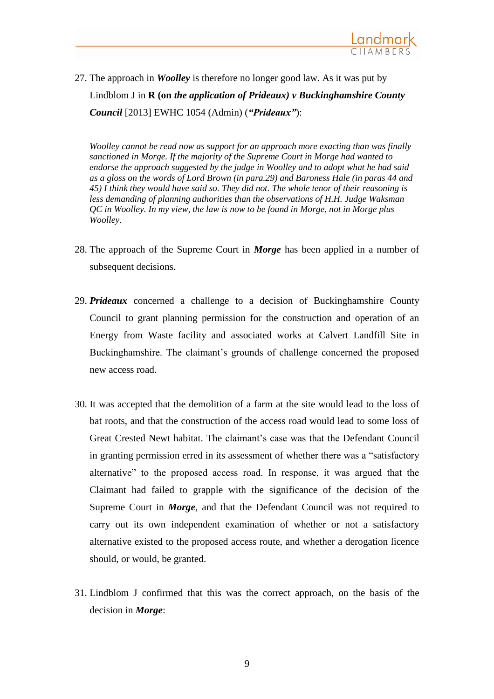

27. The approach in *Woolley* is therefore no longer good law. As it was put by Lindblom J in **R (on** *the application of Prideaux) v Buckinghamshire County Council* [2013] EWHC 1054 (Admin) (*"Prideaux"*):

*Woolley cannot be read now as support for an approach more exacting than was finally sanctioned in Morge. If the majority of the Supreme Court in [Morge](http://login.westlaw.co.uk/maf/wluk/app/document?src=doc&linktype=ref&context=12&crumb-action=replace&docguid=I1B0AA130242B11E0A147D7EF1DA71A97) had wanted to endorse the approach suggested by the judge in Woolley and to adopt what he had said as a gloss on the words of Lord Brown (in para.29) and Baroness Hale (in paras 44 and 45) I think they would have said so. They did not. The whole tenor of their reasoning is less demanding of planning authorities than the observations of H.H. Judge Waksman QC in Woolley. In my view, the law is now to be found in Morge, not in Morge plus Woolley.*

- 28. The approach of the Supreme Court in *Morge* has been applied in a number of subsequent decisions.
- 29. *Prideaux* concerned a challenge to a decision of Buckinghamshire County Council to grant planning permission for the construction and operation of an Energy from Waste facility and associated works at Calvert Landfill Site in Buckinghamshire. The claimant's grounds of challenge concerned the proposed new access road.
- 30. It was accepted that the demolition of a farm at the site would lead to the loss of bat roots, and that the construction of the access road would lead to some loss of Great Crested Newt habitat. The claimant's case was that the Defendant Council in granting permission erred in its assessment of whether there was a "satisfactory alternative" to the proposed access road. In response, it was argued that the Claimant had failed to grapple with the significance of the decision of the Supreme Court in *Morge*, and that the Defendant Council was not required to carry out its own independent examination of whether or not a satisfactory alternative existed to the proposed access route, and whether a derogation licence should, or would, be granted.
- 31. Lindblom J confirmed that this was the correct approach, on the basis of the decision in *Morge*: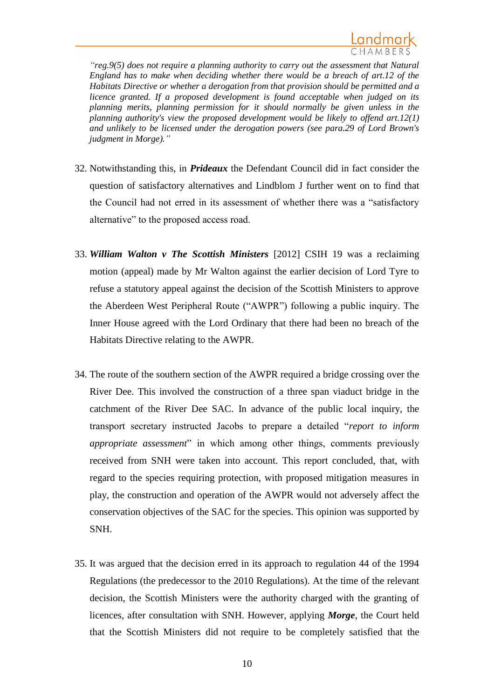*"reg.9(5) does not require a planning authority to carry out the assessment that Natural England has to make when deciding whether there would be a breach of art.12 of the Habitats Directive or whether a derogation from that provision should be permitted and a licence granted. If a proposed development is found acceptable when judged on its planning merits, planning permission for it should normally be given unless in the planning authority's view the proposed development would be likely to offend art.12(1) and unlikely to be licensed under the derogation powers (see para.29 of Lord Brown's judgment in Morge)."*

- 32. Notwithstanding this, in *Prideaux* the Defendant Council did in fact consider the question of satisfactory alternatives and Lindblom J further went on to find that the Council had not erred in its assessment of whether there was a "satisfactory alternative" to the proposed access road.
- 33. *William Walton v The Scottish Ministers* [2012] CSIH 19 was a reclaiming motion (appeal) made by Mr Walton against the earlier decision of Lord Tyre to refuse a statutory appeal against the decision of the Scottish Ministers to approve the Aberdeen West Peripheral Route ("AWPR") following a public inquiry. The Inner House agreed with the Lord Ordinary that there had been no breach of the Habitats Directive relating to the AWPR.
- 34. The route of the southern section of the AWPR required a bridge crossing over the River Dee. This involved the construction of a three span viaduct bridge in the catchment of the River Dee SAC. In advance of the public local inquiry, the transport secretary instructed Jacobs to prepare a detailed "*report to inform appropriate assessment*" in which among other things, comments previously received from SNH were taken into account. This report concluded, that, with regard to the species requiring protection, with proposed mitigation measures in play, the construction and operation of the AWPR would not adversely affect the conservation objectives of the SAC for the species. This opinion was supported by SNH.
- 35. It was argued that the decision erred in its approach to regulation 44 of the 1994 Regulations (the predecessor to the 2010 Regulations). At the time of the relevant decision, the Scottish Ministers were the authority charged with the granting of licences, after consultation with SNH. However, applying *Morge*, the Court held that the Scottish Ministers did not require to be completely satisfied that the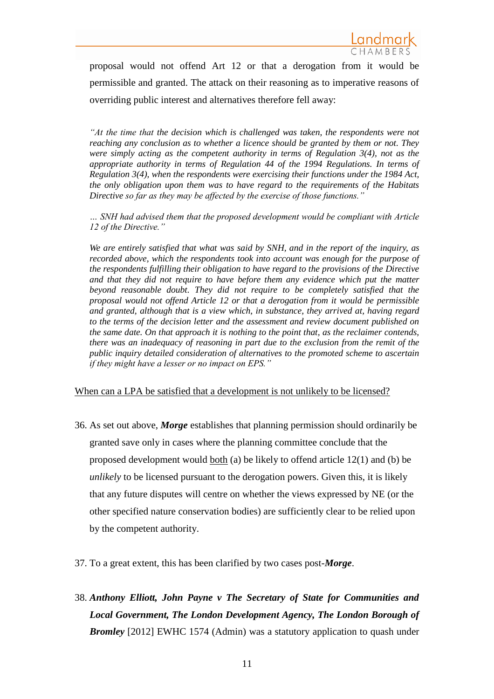proposal would not offend Art 12 or that a derogation from it would be permissible and granted. The attack on their reasoning as to imperative reasons of overriding public interest and alternatives therefore fell away:

*"At the time that the decision which is challenged was taken, the respondents were not reaching any conclusion as to whether a licence should be granted by them or not. They were simply acting as the competent authority in terms of Regulation 3(4), not as the appropriate authority in terms of Regulation 44 of the 1994 Regulations. In terms of Regulation 3(4), when the respondents were exercising their functions under the 1984 Act, the only obligation upon them was to have regard to the requirements of the Habitats Directive so far as they may be affected by the exercise of those functions."*

*… SNH had advised them that the proposed development would be compliant with Article 12 of the Directive."*

*We are entirely satisfied that what was said by SNH, and in the report of the inquiry, as recorded above, which the respondents took into account was enough for the purpose of the respondents fulfilling their obligation to have regard to the provisions of the Directive and that they did not require to have before them any evidence which put the matter beyond reasonable doubt. They did not require to be completely satisfied that the proposal would not offend Article 12 or that a derogation from it would be permissible and granted, although that is a view which, in substance, they arrived at, having regard to the terms of the decision letter and the assessment and review document published on the same date. On that approach it is nothing to the point that, as the reclaimer contends, there was an inadequacy of reasoning in part due to the exclusion from the remit of the public inquiry detailed consideration of alternatives to the promoted scheme to ascertain if they might have a lesser or no impact on EPS."*

When can a LPA be satisfied that a development is not unlikely to be licensed?

- 36. As set out above, *Morge* establishes that planning permission should ordinarily be granted save only in cases where the planning committee conclude that the proposed development would <u>both</u> (a) be likely to offend article  $12(1)$  and (b) be *unlikely* to be licensed pursuant to the derogation powers. Given this, it is likely that any future disputes will centre on whether the views expressed by NE (or the other specified nature conservation bodies) are sufficiently clear to be relied upon by the competent authority.
- 37. To a great extent, this has been clarified by two cases post-*Morge*.
- 38. *Anthony Elliott, John Payne v The Secretary of State for Communities and Local Government, The London Development Agency, The London Borough of Bromley* [2012] EWHC 1574 (Admin) was a statutory application to quash under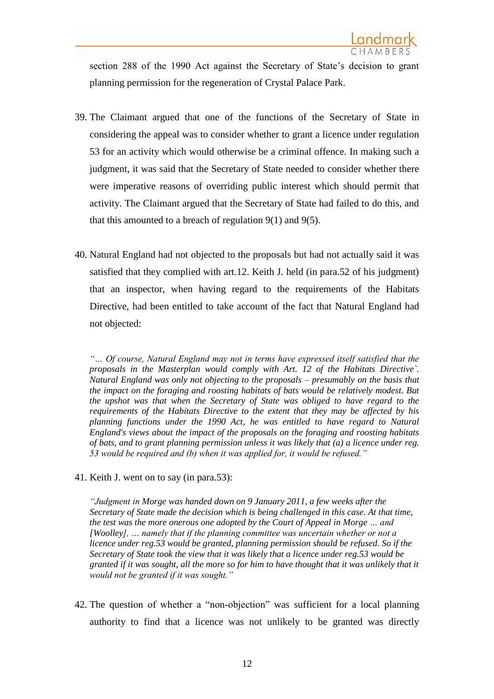section 288 of the 1990 Act against the Secretary of State's decision to grant planning permission for the regeneration of Crystal Palace Park.

- 39. The Claimant argued that one of the functions of the Secretary of State in considering the appeal was to consider whether to grant a licence under regulation 53 for an activity which would otherwise be a criminal offence. In making such a judgment, it was said that the Secretary of State needed to consider whether there were imperative reasons of overriding public interest which should permit that activity. The Claimant argued that the Secretary of State had failed to do this, and that this amounted to a breach of regulation  $9(1)$  and  $9(5)$ .
- 40. Natural England had not objected to the proposals but had not actually said it was satisfied that they complied with art.12. Keith J. held (in para.52 of his judgment) that an inspector, when having regard to the requirements of the Habitats Directive, had been entitled to take account of the fact that Natural England had not objected:

*"… Of course, Natural England may not in terms have expressed itself satisfied that the proposals in the Masterplan would comply with Art. 12 of the Habitats Directive`. Natural England was only not objecting to the proposals – presumably on the basis that the impact on the foraging and roosting habitats of bats would be relatively modest. But the upshot was that when the Secretary of State was obliged to have regard to the requirements of the Habitats Directive to the extent that they may be affected by his planning functions under the 1990 Act, he was entitled to have regard to Natural England's views about the impact of the proposals on the foraging and roosting habitats of bats, and to grant planning permission unless it was likely that (a) a licence under reg. 53 would be required and (b) when it was applied for, it would be refused."*

41. Keith J. went on to say (in para.53):

*"Judgment in Morge was handed down on 9 January 2011, a few weeks after the Secretary of State made the decision which is being challenged in this case. At that time, the test was the more onerous one adopted by the Court of Appeal in Morge … and [Woolley], … namely that if the planning committee was uncertain whether or not a licence under reg.53 would be granted, planning permission should be refused. So if the Secretary of State took the view that it was likely that a licence under reg.53 would be granted if it was sought, all the more so for him to have thought that it was unlikely that it would not be granted if it was sought."*

42. The question of whether a "non-objection" was sufficient for a local planning authority to find that a licence was not unlikely to be granted was directly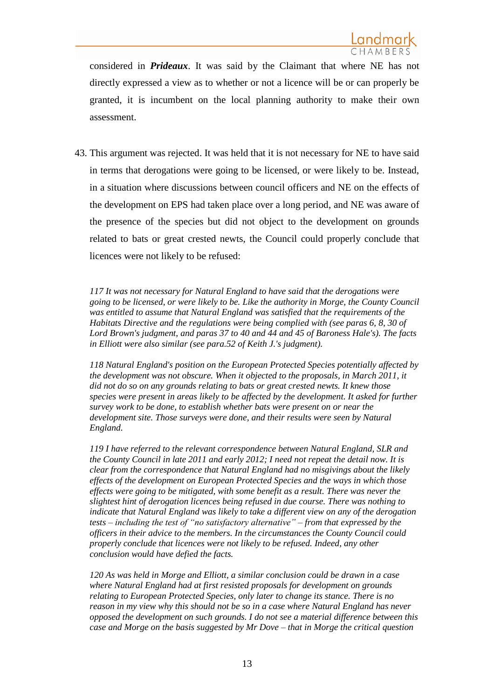considered in *Prideaux*. It was said by the Claimant that where NE has not directly expressed a view as to whether or not a licence will be or can properly be granted, it is incumbent on the local planning authority to make their own assessment.

43. This argument was rejected. It was held that it is not necessary for NE to have said in terms that derogations were going to be licensed, or were likely to be. Instead, in a situation where discussions between council officers and NE on the effects of the development on EPS had taken place over a long period, and NE was aware of the presence of the species but did not object to the development on grounds related to bats or great crested newts, the Council could properly conclude that licences were not likely to be refused:

*117 It was not necessary for Natural England to have said that the derogations were going to be licensed, or were likely to be. Like the authority in Morge, the County Council was entitled to assume that Natural England was satisfied that the requirements of the Habitats Directive and the regulations were being complied with (see paras 6, 8, 30 of Lord Brown's judgment, and paras 37 to 40 and 44 and 45 of Baroness Hale's). The facts in Elliott were also similar (see para.52 of Keith J.'s judgment).*

*118 Natural England's position on the European Protected Species potentially affected by the development was not obscure. When it objected to the proposals, in March 2011, it did not do so on any grounds relating to bats or great crested newts. It knew those species were present in areas likely to be affected by the development. It asked for further survey work to be done, to establish whether bats were present on or near the development site. Those surveys were done, and their results were seen by Natural England.*

*119 I have referred to the relevant correspondence between Natural England, SLR and the County Council in late 2011 and early 2012; I need not repeat the detail now. It is clear from the correspondence that Natural England had no misgivings about the likely effects of the development on European Protected Species and the ways in which those effects were going to be mitigated, with some benefit as a result. There was never the slightest hint of derogation licences being refused in due course. There was nothing to indicate that Natural England was likely to take a different view on any of the derogation tests – including the test of "no satisfactory alternative" – from that expressed by the officers in their advice to the members. In the circumstances the County Council could properly conclude that licences were not likely to be refused. Indeed, any other conclusion would have defied the facts.*

*120 As was held in Morge and Elliott, a similar conclusion could be drawn in a case where Natural England had at first resisted proposals for development on grounds relating to European Protected Species, only later to change its stance. There is no reason in my view why this should not be so in a case where Natural England has never opposed the development on such grounds. I do not see a material difference between this case and Morge on the basis suggested by Mr Dove – that in Morge the critical question*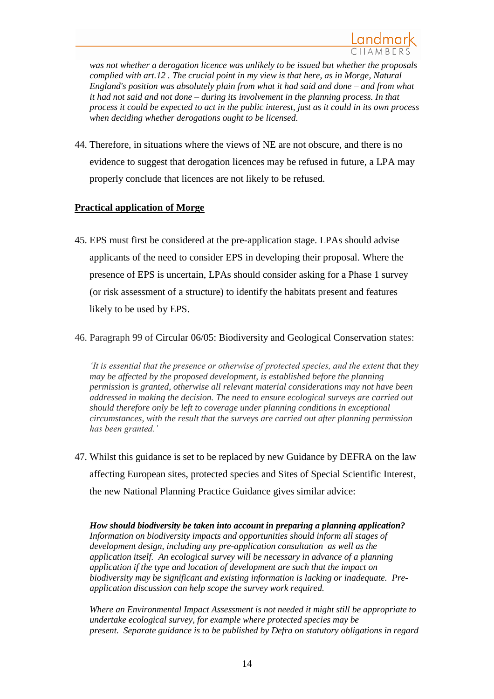*was not whether a derogation licence was unlikely to be issued but whether the proposals complied with art.12 . The crucial point in my view is that here, as in Morge, Natural England's position was absolutely plain from what it had said and done – and from what it had not said and not done – during its involvement in the planning process. In that process it could be expected to act in the public interest, just as it could in its own process when deciding whether derogations ought to be licensed.*

44. Therefore, in situations where the views of NE are not obscure, and there is no evidence to suggest that derogation licences may be refused in future, a LPA may properly conclude that licences are not likely to be refused.

# **Practical application of Morge**

- 45. EPS must first be considered at the pre-application stage. LPAs should advise applicants of the need to consider EPS in developing their proposal. Where the presence of EPS is uncertain, LPAs should consider asking for a Phase 1 survey (or risk assessment of a structure) to identify the habitats present and features likely to be used by EPS.
- 46. Paragraph 99 of Circular 06/05: Biodiversity and Geological Conservation states:

*'It is essential that the presence or otherwise of protected species, and the extent that they may be affected by the proposed development, is established before the planning permission is granted, otherwise all relevant material considerations may not have been addressed in making the decision. The need to ensure ecological surveys are carried out should therefore only be left to coverage under planning conditions in exceptional circumstances, with the result that the surveys are carried out after planning permission has been granted.'*

47. Whilst this guidance is set to be replaced by new Guidance by DEFRA on the law affecting European sites, protected species and Sites of Special Scientific Interest, the new National Planning Practice Guidance gives similar advice:

*How should biodiversity be taken into account in preparing a planning application? Information on biodiversity impacts and opportunities should inform all stages of development design, including any pre-application consultation as well as the application itself. An ecological survey will be necessary in advance of a planning application if the type and location of development are such that the impact on biodiversity may be significant and existing information is lacking or inadequate. Preapplication discussion can help scope the survey work required.*

*Where an Environmental Impact Assessment is not needed it might still be appropriate to undertake ecological survey, for example where protected species may be present. Separate guidance is to be published by Defra on statutory obligations in regard*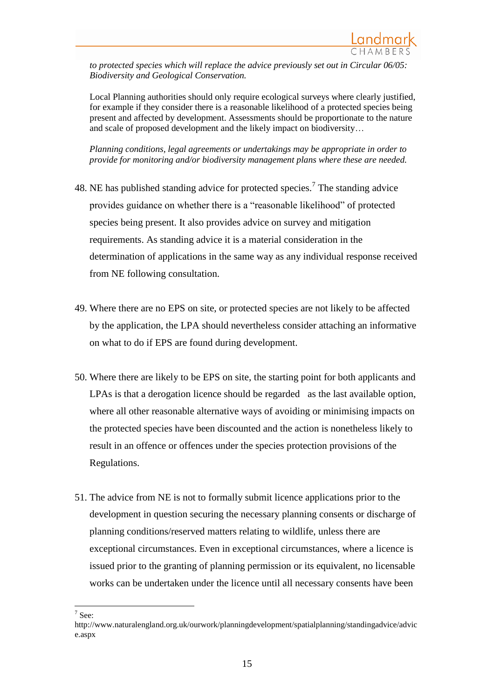*to protected species which will replace the advice previously set out in Circular 06/05: Biodiversity and Geological Conservation.*

Local Planning authorities should only require ecological surveys where clearly justified, for example if they consider there is a reasonable likelihood of a protected species being present and affected by development. Assessments should be proportionate to the nature and scale of proposed development and the likely impact on biodiversity…

*Planning conditions, legal agreements or undertakings may be appropriate in order to provide for monitoring and/or biodiversity management plans where these are needed.* 

- 48. NE has published standing advice for protected species.<sup>7</sup> The standing advice provides guidance on whether there is a "reasonable likelihood" of protected species being present. It also provides advice on survey and mitigation requirements. As standing advice it is a material consideration in the determination of applications in the same way as any individual response received from NE following consultation.
- 49. Where there are no EPS on site, or protected species are not likely to be affected by the application, the LPA should nevertheless consider attaching an informative on what to do if EPS are found during development.
- 50. Where there are likely to be EPS on site, the starting point for both applicants and LPAs is that a derogation licence should be regarded as the last available option, where all other reasonable alternative ways of avoiding or minimising impacts on the protected species have been discounted and the action is nonetheless likely to result in an offence or offences under the species protection provisions of the Regulations.
- 51. The advice from NE is not to formally submit licence applications prior to the development in question securing the necessary planning consents or discharge of planning conditions/reserved matters relating to wildlife, unless there are exceptional circumstances. Even in exceptional circumstances, where a licence is issued prior to the granting of planning permission or its equivalent, no licensable works can be undertaken under the licence until all necessary consents have been

 $\overline{\phantom{a}}$  $7$  See:

http://www.naturalengland.org.uk/ourwork/planningdevelopment/spatialplanning/standingadvice/advic e.aspx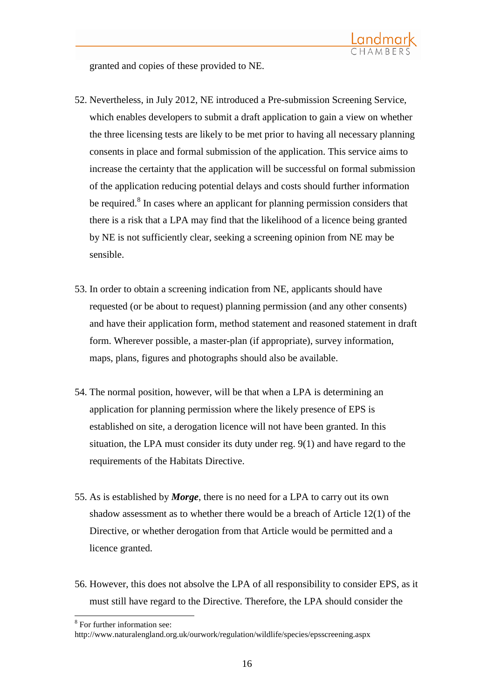granted and copies of these provided to NE.

- 52. Nevertheless, in July 2012, NE introduced a Pre-submission Screening Service, which enables developers to submit a draft application to gain a view on whether the three licensing tests are likely to be met prior to having all necessary planning consents in place and formal submission of the application. This service aims to increase the certainty that the application will be successful on formal submission of the application reducing potential delays and costs should further information be required.<sup>8</sup> In cases where an applicant for planning permission considers that there is a risk that a LPA may find that the likelihood of a licence being granted by NE is not sufficiently clear, seeking a screening opinion from NE may be sensible.
- 53. In order to obtain a screening indication from NE, applicants should have requested (or be about to request) planning permission (and any other consents) and have their application form, method statement and reasoned statement in draft form. Wherever possible, a master-plan (if appropriate), survey information, maps, plans, figures and photographs should also be available.
- 54. The normal position, however, will be that when a LPA is determining an application for planning permission where the likely presence of EPS is established on site, a derogation licence will not have been granted. In this situation, the LPA must consider its duty under reg. 9(1) and have regard to the requirements of the Habitats Directive.
- 55. As is established by *Morge*, there is no need for a LPA to carry out its own shadow assessment as to whether there would be a breach of Article 12(1) of the Directive, or whether derogation from that Article would be permitted and a licence granted.
- 56. However, this does not absolve the LPA of all responsibility to consider EPS, as it must still have regard to the Directive. Therefore, the LPA should consider the

<sup>&</sup>lt;sup>8</sup> For further information see:

http://www.naturalengland.org.uk/ourwork/regulation/wildlife/species/epsscreening.aspx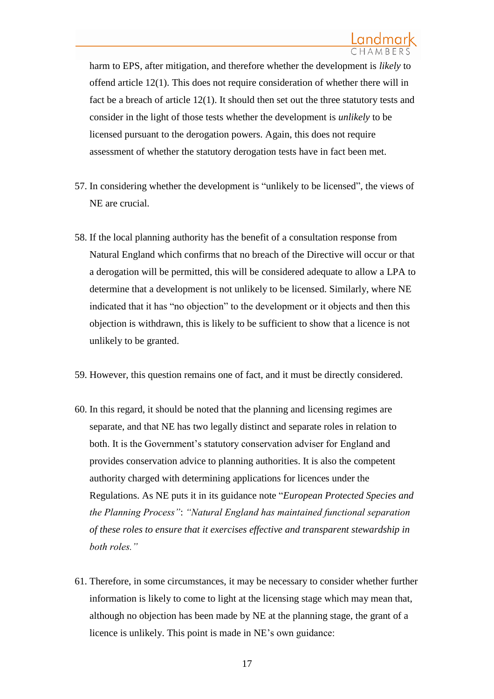harm to EPS, after mitigation, and therefore whether the development is *likely* to offend article 12(1). This does not require consideration of whether there will in fact be a breach of article 12(1). It should then set out the three statutory tests and consider in the light of those tests whether the development is *unlikely* to be licensed pursuant to the derogation powers. Again, this does not require assessment of whether the statutory derogation tests have in fact been met.

- 57. In considering whether the development is "unlikely to be licensed", the views of NE are crucial.
- 58. If the local planning authority has the benefit of a consultation response from Natural England which confirms that no breach of the Directive will occur or that a derogation will be permitted, this will be considered adequate to allow a LPA to determine that a development is not unlikely to be licensed. Similarly, where NE indicated that it has "no objection" to the development or it objects and then this objection is withdrawn, this is likely to be sufficient to show that a licence is not unlikely to be granted.
- 59. However, this question remains one of fact, and it must be directly considered.
- 60. In this regard, it should be noted that the planning and licensing regimes are separate, and that NE has two legally distinct and separate roles in relation to both. It is the Government's statutory conservation adviser for England and provides conservation advice to planning authorities. It is also the competent authority charged with determining applications for licences under the Regulations. As NE puts it in its guidance note "*European Protected Species and the Planning Process"*: *"Natural England has maintained functional separation of these roles to ensure that it exercises effective and transparent stewardship in both roles."*
- 61. Therefore, in some circumstances, it may be necessary to consider whether further information is likely to come to light at the licensing stage which may mean that, although no objection has been made by NE at the planning stage, the grant of a licence is unlikely. This point is made in NE's own guidance: